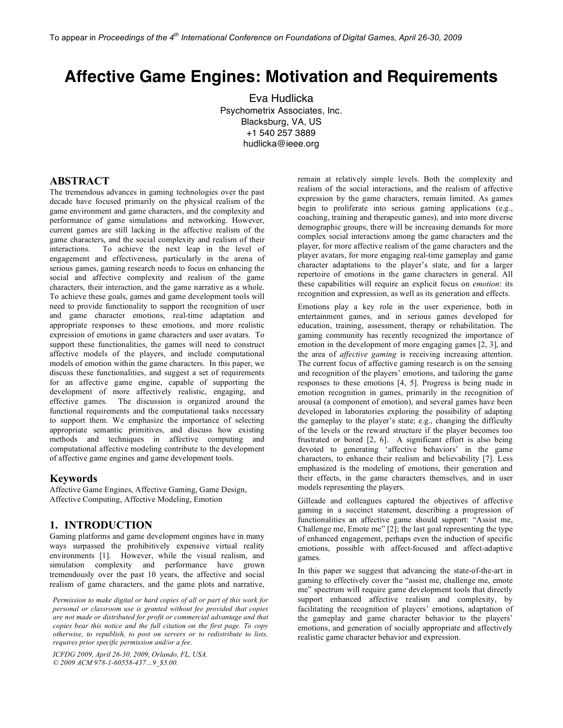# **Affective Game Engines: Motivation and Requirements**

Eva Hudlicka Psychometrix Associates, Inc. Blacksburg, VA, US +1 540 257 3889 hudlicka@ieee.org

### **ABSTRACT**

The tremendous advances in gaming technologies over the past decade have focused primarily on the physical realism of the game environment and game characters, and the complexity and performance of game simulations and networking. However, current games are still lacking in the affective realism of the game characters, and the social complexity and realism of their interactions. To achieve the next leap in the level of engagement and effectiveness, particularly in the arena of serious games, gaming research needs to focus on enhancing the social and affective complexity and realism of the game characters, their interaction, and the game narrative as a whole. To achieve these goals, games and game development tools will need to provide functionality to support the recognition of user and game character emotions, real-time adaptation and appropriate responses to these emotions, and more realistic expression of emotions in game characters and user avatars. To support these functionalities, the games will need to construct affective models of the players, and include computational models of emotion within the game characters. In this paper, we discuss these functionalities, and suggest a set of requirements for an affective game engine, capable of supporting the development of more affectively realistic, engaging, and effective games. The discussion is organized around the functional requirements and the computational tasks necessary to support them. We emphasize the importance of selecting appropriate semantic primitives, and discuss how existing methods and techniques in affective computing and computational affective modeling contribute to the development of affective game engines and game development tools.

#### **Keywords**

Affective Game Engines, Affective Gaming, Game Design, Affective Computing, Affective Modeling, Emotion

### **1. INTRODUCTION**

Gaming platforms and game development engines have in many ways surpassed the prohibitively expensive virtual reality environments [1]. However, while the visual realism, and simulation complexity and performance have grown tremendously over the past 10 years, the affective and social realism of game characters, and the game plots and narrative,

*ICFDG 2009, April 26-30, 2009, Orlando, FL, USA. © 2009 ACM 978-1-60558-437…9\_\$5.00.*

remain at relatively simple levels. Both the complexity and realism of the social interactions, and the realism of affective expression by the game characters, remain limited. As games begin to proliferate into serious gaming applications (e.g., coaching, training and therapeutic games), and into more diverse demographic groups, there will be increasing demands for more complex social interactions among the game characters and the player, for more affective realism of the game characters and the player avatars, for more engaging real-time gameplay and game character adaptations to the player's state, and for a larger repertoire of emotions in the game characters in general. All these capabilities will require an explicit focus on *emotion*: its recognition and expression, as well as its generation and effects.

Emotions play a key role in the user experience, both in entertainment games, and in serious games developed for education, training, assessment, therapy or rehabilitation. The gaming community has recently recognized the importance of emotion in the development of more engaging games [2, 3], and the area of *affective gaming* is receiving increasing attention. The current focus of affective gaming research is on the sensing and recognition of the players' emotions, and tailoring the game responses to these emotions [4, 5]. Progress is being made in emotion recognition in games, primarily in the recognition of arousal (a component of emotion), and several games have been developed in laboratories exploring the possibility of adapting the gameplay to the player's state; e.g., changing the difficulty of the levels or the reward structure if the player becomes too frustrated or bored [2, 6]. A significant effort is also being devoted to generating 'affective behaviors' in the game characters, to enhance their realism and believability [7]. Less emphasized is the modeling of emotions, their generation and their effects, in the game characters themselves, and in user models representing the players.

Gilleade and colleagues captured the objectives of affective gaming in a succinct statement, describing a progression of functionalities an affective game should support: "Assist me, Challenge me, Emote me" [2]; the last goal representing the type of enhanced engagement, perhaps even the induction of specific emotions, possible with affect-focused and affect-adaptive games.

In this paper we suggest that advancing the state-of-the-art in gaming to effectively cover the "assist me, challenge me, emote me" spectrum will require game development tools that directly support enhanced affective realism and complexity, by facilitating the recognition of players' emotions, adaptation of the gameplay and game character behavior to the players' emotions, and generation of socially appropriate and affectively realistic game character behavior and expression.

*Permission to make digital or hard copies of all or part of this work for personal or classroom use is granted without fee provided that copies are not made or distributed for profit or commercial advantage and that copies bear this notice and the full citation on the first page. To copy otherwise, to republish, to post on servers or to redistribute to lists, requires prior specific permission and/or a fee.*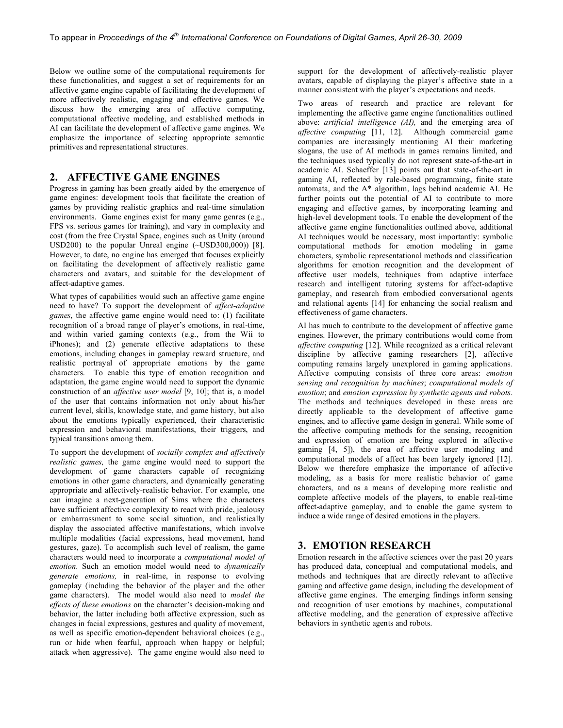Below we outline some of the computational requirements for these functionalities, and suggest a set of requirements for an affective game engine capable of facilitating the development of more affectively realistic, engaging and effective games. We discuss how the emerging area of affective computing, computational affective modeling, and established methods in AI can facilitate the development of affective game engines. We emphasize the importance of selecting appropriate semantic primitives and representational structures.

#### **2. AFFECTIVE GAME ENGINES**

Progress in gaming has been greatly aided by the emergence of game engines: development tools that facilitate the creation of games by providing realistic graphics and real-time simulation environments. Game engines exist for many game genres (e.g., FPS vs. serious games for training), and vary in complexity and cost (from the free Crystal Space, engines such as Unity (around USD200) to the popular Unreal engine  $(\sim USD300,000)$  [8]. However, to date, no engine has emerged that focuses explicitly on facilitating the development of affectively realistic game characters and avatars, and suitable for the development of affect-adaptive games.

What types of capabilities would such an affective game engine need to have? To support the development of *affect-adaptive games*, the affective game engine would need to: (1) facilitate recognition of a broad range of player's emotions, in real-time, and within varied gaming contexts (e.g., from the Wii to iPhones); and (2) generate effective adaptations to these emotions, including changes in gameplay reward structure, and realistic portrayal of appropriate emotions by the game characters. To enable this type of emotion recognition and adaptation, the game engine would need to support the dynamic construction of an *affective user model* [9, 10]; that is, a model of the user that contains information not only about his/her current level, skills, knowledge state, and game history, but also about the emotions typically experienced, their characteristic expression and behavioral manifestations, their triggers, and typical transitions among them.

To support the development of *socially complex and affectively realistic games,* the game engine would need to support the development of game characters capable of recognizing emotions in other game characters, and dynamically generating appropriate and affectively-realistic behavior. For example, one can imagine a next-generation of Sims where the characters have sufficient affective complexity to react with pride, jealousy or embarrassment to some social situation, and realistically display the associated affective manifestations, which involve multiple modalities (facial expressions, head movement, hand gestures, gaze). To accomplish such level of realism, the game characters would need to incorporate a *computational model of emotion.* Such an emotion model would need to *dynamically generate emotions,* in real-time, in response to evolving gameplay (including the behavior of the player and the other game characters). The model would also need to *model the effects of these emotions* on the character's decision-making and behavior, the latter including both affective expression, such as changes in facial expressions, gestures and quality of movement, as well as specific emotion-dependent behavioral choices (e.g., run or hide when fearful, approach when happy or helpful; attack when aggressive). The game engine would also need to

support for the development of affectively-realistic player avatars, capable of displaying the player's affective state in a manner consistent with the player's expectations and needs.

Two areas of research and practice are relevant for implementing the affective game engine functionalities outlined above: *artificial intelligence (AI),* and the emerging area of *affective computing* [11, 12]. Although commercial game companies are increasingly mentioning AI their marketing slogans, the use of AI methods in games remains limited, and the techniques used typically do not represent state-of-the-art in academic AI. Schaeffer [13] points out that state-of-the-art in gaming AI, reflected by rule-based programming, finite state automata, and the A\* algorithm, lags behind academic AI. He further points out the potential of AI to contribute to more engaging and effective games, by incorporating learning and high-level development tools. To enable the development of the affective game engine functionalities outlined above, additional AI techniques would be necessary, most importantly: symbolic computational methods for emotion modeling in game characters, symbolic representational methods and classification algorithms for emotion recognition and the development of affective user models, techniques from adaptive interface research and intelligent tutoring systems for affect-adaptive gameplay, and research from embodied conversational agents and relational agents [14] for enhancing the social realism and effectiveness of game characters.

AI has much to contribute to the development of affective game engines. However, the primary contributions would come from *affective computing* [12]. While recognized as a critical relevant discipline by affective gaming researchers [2], affective computing remains largely unexplored in gaming applications. Affective computing consists of three core areas: *emotion sensing and recognition by machines*; *computational models of emotion*; and *emotion expression by synthetic agents and robots*. The methods and techniques developed in these areas are directly applicable to the development of affective game engines, and to affective game design in general. While some of the affective computing methods for the sensing, recognition and expression of emotion are being explored in affective gaming [4, 5]), the area of affective user modeling and computational models of affect has been largely ignored [12]. Below we therefore emphasize the importance of affective modeling, as a basis for more realistic behavior of game characters, and as a means of developing more realistic and complete affective models of the players, to enable real-time affect-adaptive gameplay, and to enable the game system to induce a wide range of desired emotions in the players.

### **3. EMOTION RESEARCH**

Emotion research in the affective sciences over the past 20 years has produced data, conceptual and computational models, and methods and techniques that are directly relevant to affective gaming and affective game design, including the development of affective game engines. The emerging findings inform sensing and recognition of user emotions by machines, computational affective modeling, and the generation of expressive affective behaviors in synthetic agents and robots.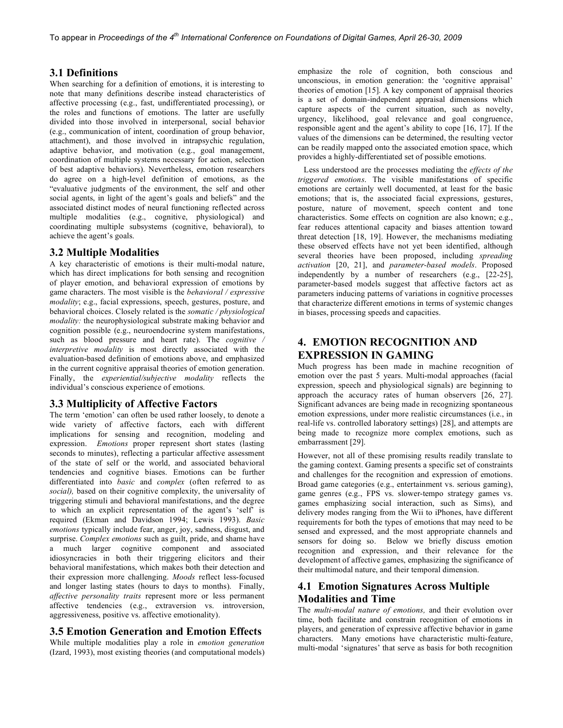### **3.1 Definitions**

When searching for a definition of emotions, it is interesting to note that many definitions describe instead characteristics of affective processing (e.g., fast, undifferentiated processing), or the roles and functions of emotions. The latter are usefully divided into those involved in interpersonal, social behavior (e.g., communication of intent, coordination of group behavior, attachment), and those involved in intrapsychic regulation, adaptive behavior, and motivation (e.g., goal management, coordination of multiple systems necessary for action, selection of best adaptive behaviors). Nevertheless, emotion researchers do agree on a high-level definition of emotions, as the "evaluative judgments of the environment, the self and other social agents, in light of the agent's goals and beliefs" and the associated distinct modes of neural functioning reflected across multiple modalities (e.g., cognitive, physiological) and coordinating multiple subsystems (cognitive, behavioral), to achieve the agent's goals.

### **3.2 Multiple Modalities**

A key characteristic of emotions is their multi-modal nature, which has direct implications for both sensing and recognition of player emotion, and behavioral expression of emotions by game characters. The most visible is the *behavioral / expressive modality*; e.g., facial expressions, speech, gestures, posture, and behavioral choices. Closely related is the *somatic / physiological modality:* the neurophysiological substrate making behavior and cognition possible (e.g., neuroendocrine system manifestations, such as blood pressure and heart rate). The *cognitive / interpretive modality* is most directly associated with the evaluation-based definition of emotions above, and emphasized in the current cognitive appraisal theories of emotion generation. Finally, the *experiential/subjective modality* reflects the individual's conscious experience of emotions.

### **3.3 Multiplicity of Affective Factors**

The term 'emotion' can often be used rather loosely, to denote a wide variety of affective factors, each with different implications for sensing and recognition, modeling and expression. *Emotions* proper represent short states (lasting seconds to minutes), reflecting a particular affective assessment of the state of self or the world, and associated behavioral tendencies and cognitive biases. Emotions can be further differentiated into *basic* and *complex* (often referred to as *social),* based on their cognitive complexity, the universality of triggering stimuli and behavioral manifestations, and the degree to which an explicit representation of the agent's 'self' is required (Ekman and Davidson 1994; Lewis 1993). *Basic emotions* typically include fear, anger, joy, sadness, disgust, and surprise. *Complex emotions* such as guilt, pride, and shame have a much larger cognitive component and associated idiosyncracies in both their triggering elicitors and their behavioral manifestations, which makes both their detection and their expression more challenging. *Moods* reflect less-focused and longer lasting states (hours to days to months). Finally, *affective personality traits* represent more or less permanent affective tendencies (e.g., extraversion vs. introversion, aggressiveness, positive vs. affective emotionality).

### **3.5 Emotion Generation and Emotion Effects**

While multiple modalities play a role in *emotion generation* (Izard, 1993), most existing theories (and computational models)

emphasize the role of cognition, both conscious and unconscious, in emotion generation: the 'cognitive appraisal' theories of emotion [15]. A key component of appraisal theories is a set of domain-independent appraisal dimensions which capture aspects of the current situation, such as novelty, urgency, likelihood, goal relevance and goal congruence, responsible agent and the agent's ability to cope [16, 17]. If the values of the dimensions can be determined, the resulting vector can be readily mapped onto the associated emotion space, which provides a highly-differentiated set of possible emotions.

Less understood are the processes mediating the *effects of the triggered emotions*. The visible manifestations of specific emotions are certainly well documented, at least for the basic emotions; that is, the associated facial expressions, gestures, posture, nature of movement, speech content and tone characteristics. Some effects on cognition are also known; e.g., fear reduces attentional capacity and biases attention toward threat detection [18, 19]. However, the mechanisms mediating these observed effects have not yet been identified, although several theories have been proposed, including *spreading activation* [20, 21], and *parameter-based models*. Proposed independently by a number of researchers (e.g., [22-25], parameter-based models suggest that affective factors act as parameters inducing patterns of variations in cognitive processes that characterize different emotions in terms of systemic changes in biases, processing speeds and capacities.

### **4. EMOTION RECOGNITION AND EXPRESSION IN GAMING**

Much progress has been made in machine recognition of emotion over the past 5 years. Multi-modal approaches (facial expression, speech and physiological signals) are beginning to approach the accuracy rates of human observers [26, 27]. Significant advances are being made in recognizing spontaneous emotion expressions, under more realistic circumstances (i.e., in real-life vs. controlled laboratory settings) [28], and attempts are being made to recognize more complex emotions, such as embarrassment [29].

However, not all of these promising results readily translate to the gaming context. Gaming presents a specific set of constraints and challenges for the recognition and expression of emotions. Broad game categories (e.g., entertainment vs. serious gaming), game genres (e.g., FPS vs. slower-tempo strategy games vs. games emphasizing social interaction, such as Sims), and delivery modes ranging from the Wii to iPhones, have different requirements for both the types of emotions that may need to be sensed and expressed, and the most appropriate channels and sensors for doing so. Below we briefly discuss emotion recognition and expression, and their relevance for the development of affective games, emphasizing the significance of their multimodal nature, and their temporal dimension.

### **4.1 Emotion Signatures Across Multiple Modalities and Time**

The *multi-modal nature of emotions,* and their evolution over time, both facilitate and constrain recognition of emotions in players, and generation of expressive affective behavior in game characters. Many emotions have characteristic multi-feature, multi-modal 'signatures' that serve as basis for both recognition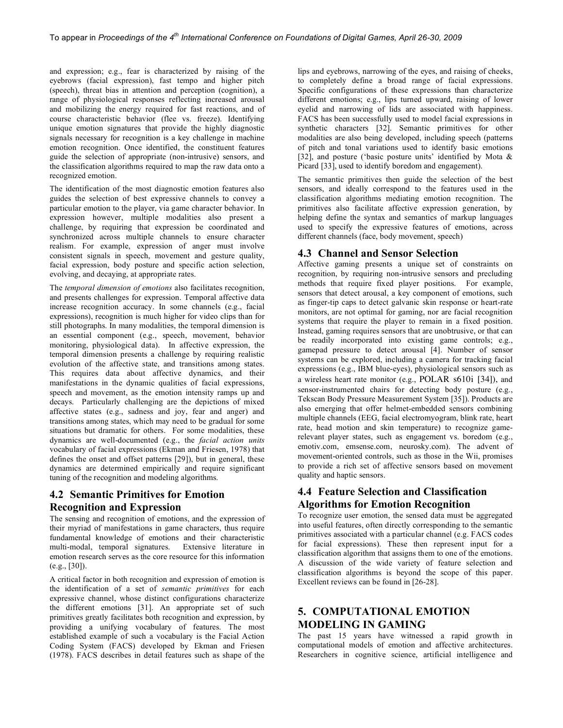and expression; e.g., fear is characterized by raising of the eyebrows (facial expression), fast tempo and higher pitch (speech), threat bias in attention and perception (cognition), a range of physiological responses reflecting increased arousal and mobilizing the energy required for fast reactions, and of course characteristic behavior (flee vs. freeze). Identifying unique emotion signatures that provide the highly diagnostic signals necessary for recognition is a key challenge in machine emotion recognition. Once identified, the constituent features guide the selection of appropriate (non-intrusive) sensors, and the classification algorithms required to map the raw data onto a recognized emotion.

The identification of the most diagnostic emotion features also guides the selection of best expressive channels to convey a particular emotion to the player, via game character behavior. In expression however, multiple modalities also present a challenge, by requiring that expression be coordinated and synchronized across multiple channels to ensure character realism. For example, expression of anger must involve consistent signals in speech, movement and gesture quality, facial expression, body posture and specific action selection, evolving, and decaying, at appropriate rates.

The *temporal dimension of emotions* also facilitates recognition, and presents challenges for expression. Temporal affective data increase recognition accuracy. In some channels (e.g., facial expressions), recognition is much higher for video clips than for still photographs. In many modalities, the temporal dimension is an essential component (e.g., speech, movement, behavior monitoring, physiological data). In affective expression, the temporal dimension presents a challenge by requiring realistic evolution of the affective state, and transitions among states. This requires data about affective dynamics, and their manifestations in the dynamic qualities of facial expressions, speech and movement, as the emotion intensity ramps up and decays. Particularly challenging are the depictions of mixed affective states (e.g., sadness and joy, fear and anger) and transitions among states, which may need to be gradual for some situations but dramatic for others. For some modalities, these dynamics are well-documented (e.g., the *facial action units* vocabulary of facial expressions (Ekman and Friesen, 1978) that defines the onset and offset patterns [29]), but in general, these dynamics are determined empirically and require significant tuning of the recognition and modeling algorithms.

# **4.2 Semantic Primitives for Emotion Recognition and Expression**

The sensing and recognition of emotions, and the expression of their myriad of manifestations in game characters, thus require fundamental knowledge of emotions and their characteristic multi-modal, temporal signatures. Extensive literature in emotion research serves as the core resource for this information (e.g., [30]).

A critical factor in both recognition and expression of emotion is the identification of a set of *semantic primitives* for each expressive channel, whose distinct configurations characterize the different emotions [31]. An appropriate set of such primitives greatly facilitates both recognition and expression, by providing a unifying vocabulary of features. The most established example of such a vocabulary is the Facial Action Coding System (FACS) developed by Ekman and Friesen (1978). FACS describes in detail features such as shape of the lips and eyebrows, narrowing of the eyes, and raising of cheeks, to completely define a broad range of facial expressions. Specific configurations of these expressions than characterize different emotions; e.g., lips turned upward, raising of lower eyelid and narrowing of lids are associated with happiness. FACS has been successfully used to model facial expressions in synthetic characters [32]. Semantic primitives for other modalities are also being developed, including speech (patterns of pitch and tonal variations used to identify basic emotions [32], and posture ('basic posture units' identified by Mota  $\&$ Picard [33], used to identify boredom and engagement).

The semantic primitives then guide the selection of the best sensors, and ideally correspond to the features used in the classification algorithms mediating emotion recognition. The primitives also facilitate affective expression generation, by helping define the syntax and semantics of markup languages used to specify the expressive features of emotions, across different channels (face, body movement, speech)

### **4.3 Channel and Sensor Selection**

Affective gaming presents a unique set of constraints on recognition, by requiring non-intrusive sensors and precluding methods that require fixed player positions. For example, sensors that detect arousal, a key component of emotions, such as finger-tip caps to detect galvanic skin response or heart-rate monitors, are not optimal for gaming, nor are facial recognition systems that require the player to remain in a fixed position. Instead, gaming requires sensors that are unobtrusive, or that can be readily incorporated into existing game controls; e.g., gamepad pressure to detect arousal [4]. Number of sensor systems can be explored, including a camera for tracking facial expressions (e.g., IBM blue-eyes), physiological sensors such as a wireless heart rate monitor (e.g., POLAR s610i [34]), and sensor-instrumented chairs for detecting body posture (e.g., Tekscan Body Pressure Measurement System [35]). Products are also emerging that offer helmet-embedded sensors combining multiple channels (EEG, facial electromyogram, blink rate, heart rate, head motion and skin temperature) to recognize gamerelevant player states, such as engagement vs. boredom (e.g., emotiv.com, emsense.com, neurosky.com). The advent of movement-oriented controls, such as those in the Wii, promises to provide a rich set of affective sensors based on movement quality and haptic sensors.

# **4.4 Feature Selection and Classification Algorithms for Emotion Recognition**

To recognize user emotion, the sensed data must be aggregated into useful features, often directly corresponding to the semantic primitives associated with a particular channel (e.g. FACS codes for facial expressions). These then represent input for a classification algorithm that assigns them to one of the emotions. A discussion of the wide variety of feature selection and classification algorithms is beyond the scope of this paper. Excellent reviews can be found in [26-28].

# **5. COMPUTATIONAL EMOTION MODELING IN GAMING**

The past 15 years have witnessed a rapid growth in computational models of emotion and affective architectures. Researchers in cognitive science, artificial intelligence and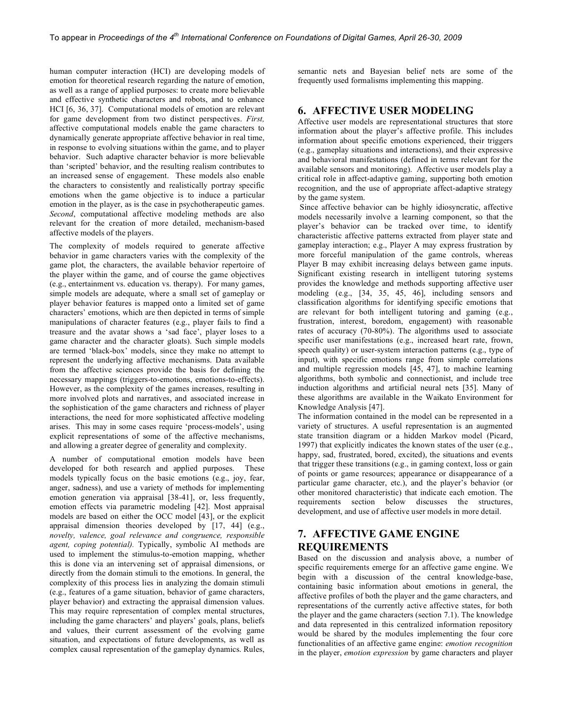human computer interaction (HCI) are developing models of emotion for theoretical research regarding the nature of emotion, as well as a range of applied purposes: to create more believable and effective synthetic characters and robots, and to enhance HCI [6, 36, 37]. Computational models of emotion are relevant for game development from two distinct perspectives. *First,* affective computational models enable the game characters to dynamically generate appropriate affective behavior in real time, in response to evolving situations within the game, and to player behavior. Such adaptive character behavior is more believable than 'scripted' behavior, and the resulting realism contributes to an increased sense of engagement. These models also enable the characters to consistently and realistically portray specific emotions when the game objective is to induce a particular emotion in the player, as is the case in psychotherapeutic games. *Second*, computational affective modeling methods are also relevant for the creation of more detailed, mechanism-based affective models of the players.

The complexity of models required to generate affective behavior in game characters varies with the complexity of the game plot, the characters, the available behavior repertoire of the player within the game, and of course the game objectives (e.g., entertainment vs. education vs. therapy). For many games, simple models are adequate, where a small set of gameplay or player behavior features is mapped onto a limited set of game characters' emotions, which are then depicted in terms of simple manipulations of character features (e.g., player fails to find a treasure and the avatar shows a 'sad face', player loses to a game character and the character gloats). Such simple models are termed 'black-box' models, since they make no attempt to represent the underlying affective mechanisms. Data available from the affective sciences provide the basis for defining the necessary mappings (triggers-to-emotions, emotions-to-effects). However, as the complexity of the games increases, resulting in more involved plots and narratives, and associated increase in the sophistication of the game characters and richness of player interactions, the need for more sophisticated affective modeling arises. This may in some cases require 'process-models', using explicit representations of some of the affective mechanisms, and allowing a greater degree of generality and complexity.

A number of computational emotion models have been developed for both research and applied purposes. These models typically focus on the basic emotions (e.g., joy, fear, anger, sadness), and use a variety of methods for implementing emotion generation via appraisal [38-41], or, less frequently, emotion effects via parametric modeling [42]. Most appraisal models are based on either the OCC model [43], or the explicit appraisal dimension theories developed by [17, 44] (e.g., *novelty, valence, goal relevance and congruence, responsible agent, coping potential).* Typically, symbolic AI methods are used to implement the stimulus-to-emotion mapping, whether this is done via an intervening set of appraisal dimensions, or directly from the domain stimuli to the emotions. In general, the complexity of this process lies in analyzing the domain stimuli (e.g., features of a game situation, behavior of game characters, player behavior) and extracting the appraisal dimension values. This may require representation of complex mental structures, including the game characters' and players' goals, plans, beliefs and values, their current assessment of the evolving game situation, and expectations of future developments, as well as complex causal representation of the gameplay dynamics. Rules,

semantic nets and Bayesian belief nets are some of the frequently used formalisms implementing this mapping.

#### **6. AFFECTIVE USER MODELING**

Affective user models are representational structures that store information about the player's affective profile. This includes information about specific emotions experienced, their triggers (e.g., gameplay situations and interactions), and their expressive and behavioral manifestations (defined in terms relevant for the available sensors and monitoring). Affective user models play a critical role in affect-adaptive gaming, supporting both emotion recognition, and the use of appropriate affect-adaptive strategy by the game system.

Since affective behavior can be highly idiosyncratic, affective models necessarily involve a learning component, so that the player's behavior can be tracked over time, to identify characteristic affective patterns extracted from player state and gameplay interaction; e.g., Player A may express frustration by more forceful manipulation of the game controls, whereas Player B may exhibit increasing delays between game inputs. Significant existing research in intelligent tutoring systems provides the knowledge and methods supporting affective user modeling (e.g., [34, 35, 45, 46], including sensors and classification algorithms for identifying specific emotions that are relevant for both intelligent tutoring and gaming (e.g., frustration, interest, boredom, engagement) with reasonable rates of accuracy (70-80%). The algorithms used to associate specific user manifestations (e.g., increased heart rate, frown, speech quality) or user-system interaction patterns (e.g., type of input), with specific emotions range from simple correlations and multiple regression models [45, 47], to machine learning algorithms, both symbolic and connectionist, and include tree induction algorithms and artificial neural nets [35]. Many of these algorithms are available in the Waikato Environment for Knowledge Analysis [47].

The information contained in the model can be represented in a variety of structures. A useful representation is an augmented state transition diagram or a hidden Markov model (Picard, 1997) that explicitly indicates the known states of the user (e.g., happy, sad, frustrated, bored, excited), the situations and events that trigger these transitions (e.g., in gaming context, loss or gain of points or game resources; appearance or disappearance of a particular game character, etc.), and the player's behavior (or other monitored characteristic) that indicate each emotion. The requirements section below discusses the structures, development, and use of affective user models in more detail.

### **7. AFFECTIVE GAME ENGINE REQUIREMENTS**

Based on the discussion and analysis above, a number of specific requirements emerge for an affective game engine. We begin with a discussion of the central knowledge-base, containing basic information about emotions in general, the affective profiles of both the player and the game characters, and representations of the currently active affective states, for both the player and the game characters (section 7.1). The knowledge and data represented in this centralized information repository would be shared by the modules implementing the four core functionalities of an affective game engine: *emotion recognition* in the player, *emotion expression* by game characters and player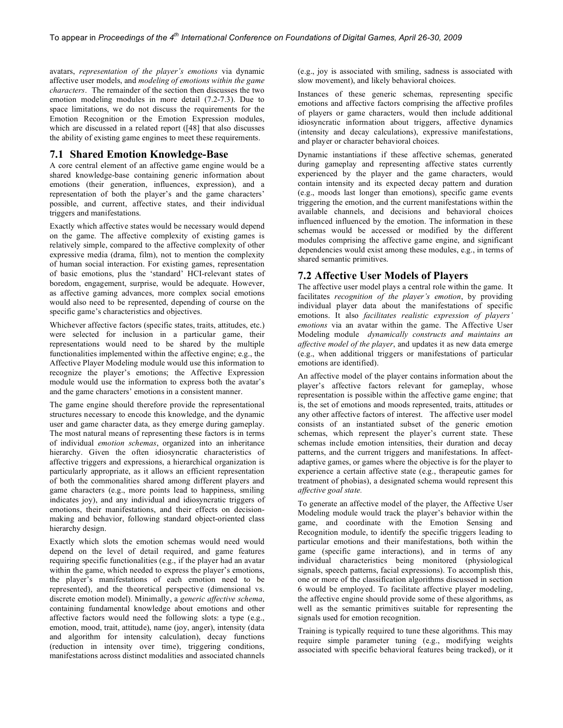avatars, *representation of the player's emotions* via dynamic affective user models, and *modeling of emotions within the game characters*. The remainder of the section then discusses the two emotion modeling modules in more detail (7.2-7.3). Due to space limitations, we do not discuss the requirements for the Emotion Recognition or the Emotion Expression modules, which are discussed in a related report ([48] that also discusses the ability of existing game engines to meet these requirements.

#### **7.1 Shared Emotion Knowledge-Base**

A core central element of an affective game engine would be a shared knowledge-base containing generic information about emotions (their generation, influences, expression), and a representation of both the player's and the game characters' possible, and current, affective states, and their individual triggers and manifestations.

Exactly which affective states would be necessary would depend on the game. The affective complexity of existing games is relatively simple, compared to the affective complexity of other expressive media (drama, film), not to mention the complexity of human social interaction. For existing games, representation of basic emotions, plus the 'standard' HCI-relevant states of boredom, engagement, surprise, would be adequate. However, as affective gaming advances, more complex social emotions would also need to be represented, depending of course on the specific game's characteristics and objectives.

Whichever affective factors (specific states, traits, attitudes, etc.) were selected for inclusion in a particular game, their representations would need to be shared by the multiple functionalities implemented within the affective engine; e.g., the Affective Player Modeling module would use this information to recognize the player's emotions; the Affective Expression module would use the information to express both the avatar's and the game characters' emotions in a consistent manner.

The game engine should therefore provide the representational structures necessary to encode this knowledge, and the dynamic user and game character data, as they emerge during gameplay. The most natural means of representing these factors is in terms of individual *emotion schemas*, organized into an inheritance hierarchy. Given the often idiosyncratic characteristics of affective triggers and expressions, a hierarchical organization is particularly appropriate, as it allows an efficient representation of both the commonalities shared among different players and game characters (e.g., more points lead to happiness, smiling indicates joy), and any individual and idiosyncratic triggers of emotions, their manifestations, and their effects on decisionmaking and behavior, following standard object-oriented class hierarchy design.

Exactly which slots the emotion schemas would need would depend on the level of detail required, and game features requiring specific functionalities (e.g., if the player had an avatar within the game, which needed to express the player's emotions, the player's manifestations of each emotion need to be represented), and the theoretical perspective (dimensional vs. discrete emotion model). Minimally, a *generic affective schema*, containing fundamental knowledge about emotions and other affective factors would need the following slots: a type (e.g., emotion, mood, trait, attitude), name (joy, anger), intensity (data and algorithm for intensity calculation), decay functions (reduction in intensity over time), triggering conditions, manifestations across distinct modalities and associated channels (e.g., joy is associated with smiling, sadness is associated with slow movement), and likely behavioral choices.

Instances of these generic schemas, representing specific emotions and affective factors comprising the affective profiles of players or game characters, would then include additional idiosyncratic information about triggers, affective dynamics (intensity and decay calculations), expressive manifestations, and player or character behavioral choices.

Dynamic instantiations if these affective schemas, generated during gameplay and representing affective states currently experienced by the player and the game characters, would contain intensity and its expected decay pattern and duration (e.g., moods last longer than emotions), specific game events triggering the emotion, and the current manifestations within the available channels, and decisions and behavioral choices influenced influenced by the emotion. The information in these schemas would be accessed or modified by the different modules comprising the affective game engine, and significant dependencies would exist among these modules, e.g., in terms of shared semantic primitives.

#### **7.2 Affective User Models of Players**

The affective user model plays a central role within the game. It facilitates *recognition of the player's emotion*, by providing individual player data about the manifestations of specific emotions. It also *facilitates realistic expression of players' emotions* via an avatar within the game. The Affective User Modeling module *dynamically constructs and maintains an affective model of the player*, and updates it as new data emerge (e.g., when additional triggers or manifestations of particular emotions are identified).

An affective model of the player contains information about the player's affective factors relevant for gameplay, whose representation is possible within the affective game engine; that is, the set of emotions and moods represented, traits, attitudes or any other affective factors of interest. The affective user model consists of an instantiated subset of the generic emotion schemas, which represent the player's current state. These schemas include emotion intensities, their duration and decay patterns, and the current triggers and manifestations. In affectadaptive games, or games where the objective is for the player to experience a certain affective state (e.g., therapeutic games for treatment of phobias), a designated schema would represent this *affective goal state.*

To generate an affective model of the player, the Affective User Modeling module would track the player's behavior within the game, and coordinate with the Emotion Sensing and Recognition module, to identify the specific triggers leading to particular emotions and their manifestations, both within the game (specific game interactions), and in terms of any individual characteristics being monitored (physiological signals, speech patterns, facial expressions). To accomplish this, one or more of the classification algorithms discussed in section 6 would be employed. To facilitate affective player modeling, the affective engine should provide some of these algorithms, as well as the semantic primitives suitable for representing the signals used for emotion recognition.

Training is typically required to tune these algorithms. This may require simple parameter tuning (e.g., modifying weights associated with specific behavioral features being tracked), or it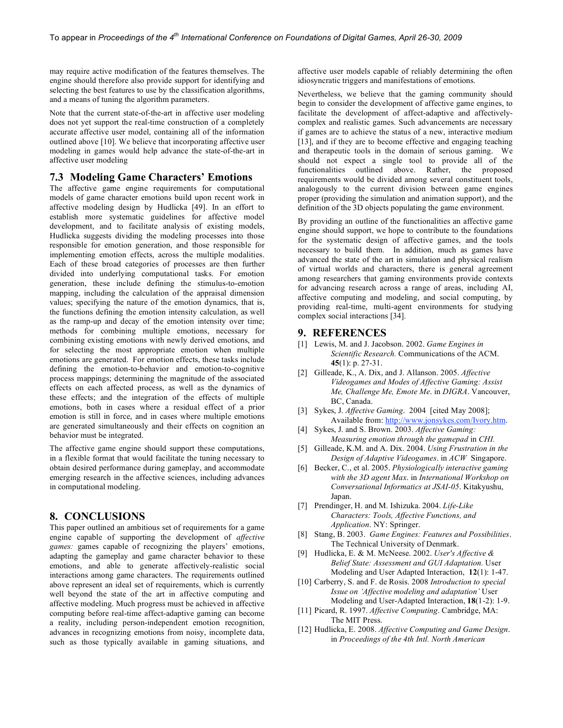may require active modification of the features themselves. The engine should therefore also provide support for identifying and selecting the best features to use by the classification algorithms, and a means of tuning the algorithm parameters.

Note that the current state-of-the-art in affective user modeling does not yet support the real-time construction of a completely accurate affective user model, containing all of the information outlined above [10]. We believe that incorporating affective user modeling in games would help advance the state-of-the-art in affective user modeling

### **7.3 Modeling Game Characters' Emotions**

The affective game engine requirements for computational models of game character emotions build upon recent work in affective modeling design by Hudlicka [49]. In an effort to establish more systematic guidelines for affective model development, and to facilitate analysis of existing models, Hudlicka suggests dividing the modeling processes into those responsible for emotion generation, and those responsible for implementing emotion effects, across the multiple modalities. Each of these broad categories of processes are then further divided into underlying computational tasks. For emotion generation, these include defining the stimulus-to-emotion mapping, including the calculation of the appraisal dimension values; specifying the nature of the emotion dynamics, that is, the functions defining the emotion intensity calculation, as well as the ramp-up and decay of the emotion intensity over time; methods for combining multiple emotions, necessary for combining existing emotions with newly derived emotions, and for selecting the most appropriate emotion when multiple emotions are generated. For emotion effects, these tasks include defining the emotion-to-behavior and emotion-to-cognitive process mappings; determining the magnitude of the associated effects on each affected process, as well as the dynamics of these effects; and the integration of the effects of multiple emotions, both in cases where a residual effect of a prior emotion is still in force, and in cases where multiple emotions are generated simultaneously and their effects on cognition an behavior must be integrated.

The affective game engine should support these computations, in a flexible format that would facilitate the tuning necessary to obtain desired performance during gameplay, and accommodate emerging research in the affective sciences, including advances in computational modeling.

#### **8. CONCLUSIONS**

This paper outlined an ambitious set of requirements for a game engine capable of supporting the development of *affective games:* games capable of recognizing the players' emotions, adapting the gameplay and game character behavior to these emotions, and able to generate affectively-realistic social interactions among game characters. The requirements outlined above represent an ideal set of requirements, which is currently well beyond the state of the art in affective computing and affective modeling. Much progress must be achieved in affective computing before real-time affect-adaptive gaming can become a reality, including person-independent emotion recognition, advances in recognizing emotions from noisy, incomplete data, such as those typically available in gaming situations, and affective user models capable of reliably determining the often idiosyncratic triggers and manifestations of emotions.

Nevertheless, we believe that the gaming community should begin to consider the development of affective game engines, to facilitate the development of affect-adaptive and affectivelycomplex and realistic games. Such advancements are necessary if games are to achieve the status of a new, interactive medium [13], and if they are to become effective and engaging teaching and therapeutic tools in the domain of serious gaming. We should not expect a single tool to provide all of the functionalities outlined above. Rather, the proposed requirements would be divided among several constituent tools, analogously to the current division between game engines proper (providing the simulation and animation support), and the definition of the 3D objects populating the game environment.

By providing an outline of the functionalities an affective game engine should support, we hope to contribute to the foundations for the systematic design of affective games, and the tools necessary to build them. In addition, much as games have advanced the state of the art in simulation and physical realism of virtual worlds and characters, there is general agreement among researchers that gaming environments provide contexts for advancing research across a range of areas, including AI, affective computing and modeling, and social computing, by providing real-time, multi-agent environments for studying complex social interactions [34].

#### **9. REFERENCES**

- [1] Lewis, M. and J. Jacobson. 2002. *Game Engines in Scientific Research.* Communications of the ACM. **45**(1): p. 27-31.
- [2] Gilleade, K., A. Dix, and J. Allanson. 2005. *Affective Videogames and Modes of Affective Gaming: Assist Me, Challenge Me, Emote Me*. in *DIGRA*. Vancouver, BC, Canada.
- [3] Sykes, J. *Affective Gaming*. 2004 [cited May 2008]; Available from: http://www.jonsykes.com/Ivory.htm.
- [4] Sykes, J. and S. Brown. 2003. *Affective Gaming: Measuring emotion through the gamepad* in *CHI.*
- [5] Gilleade, K.M. and A. Dix. 2004. *Using Frustration in the Design of Adaptive Videogames*. in *ACW* Singapore.
- [6] Becker, C., et al. 2005. *Physiologically interactive gaming with the 3D agent Max*. in *International Workshop on Conversational Informatics at JSAI-05*. Kitakyushu, Japan.
- [7] Prendinger, H. and M. Ishizuka. 2004. *Life-Like Characters: Tools, Affective Functions, and Application*. NY: Springer.
- [8] Stang, B. 2003. *Game Engines: Features and Possibilities*. The Technical University of Denmark.
- [9] Hudlicka, E. & M. McNeese. 2002. *User's Affective & Belief State: Assessment and GUI Adaptation.* User Modeling and User Adapted Interaction, **12**(1): 1-47.
- [10] Carberry, S. and F. de Rosis. 2008 *Introduction to special Issue on 'Affective modeling and adaptation'* User Modeling and User-Adapted Interaction, **18**(1-2): 1-9.
- [11] Picard, R. 1997. *Affective Computing*. Cambridge, MA: The MIT Press.
- [12] Hudlicka, E. 2008. *Affective Computing and Game Design*. in *Proceedings of the 4th Intl. North American*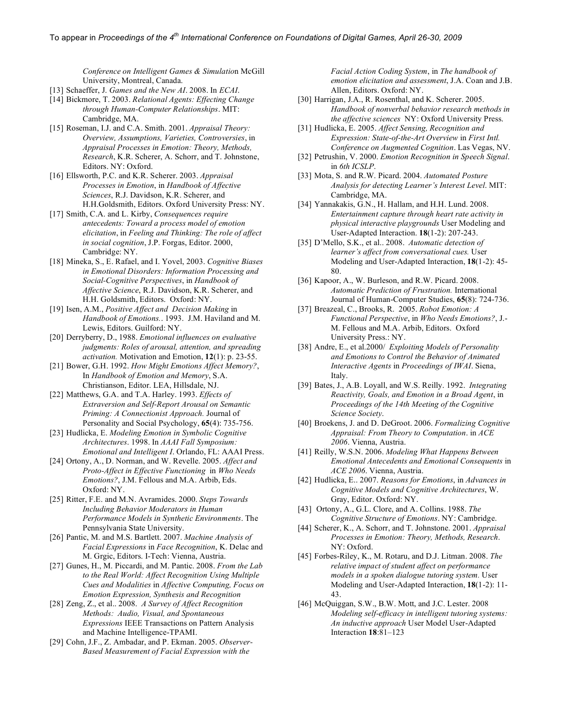*Conference on Intelligent Games & Simulatio*n McGill University, Montreal, Canada.

- [14] Bickmore, T. 2003. *Relational Agents: Effecting Change through Human-Computer Relationships*. MIT: Cambridge, MA.
- [15] Roseman, I.J. and C.A. Smith. 2001. *Appraisal Theory: Overview, Assumptions, Varieties, Controversies*, in *Appraisal Processes in Emotion: Theory, Methods, Research*, K.R. Scherer, A. Schorr, and T. Johnstone, Editors. NY: Oxford.
- [16] Ellsworth, P.C. and K.R. Scherer. 2003. *Appraisal Processes in Emotion*, in *Handbook of Affective Sciences*, R.J. Davidson, K.R. Scherer, and H.H.Goldsmith, Editors. Oxford University Press: NY.
- [17] Smith, C.A. and L. Kirby, *Consequences require antecedents: Toward a process model of emotion elicitation*, in *Feeling and Thinking: The role of affect in social cognition*, J.P. Forgas, Editor. 2000, Cambridge: NY.
- [18] Mineka, S., E. Rafael, and I. Yovel, 2003. *Cognitive Biases in Emotional Disorders: Information Processing and Social-Cognitive Perspectives*, in *Handbook of Affective Science*, R.J. Davidson, K.R. Scherer, and H.H. Goldsmith, Editors. Oxford: NY.
- [19] Isen, A.M., *Positive Affect and Decision Making* in *Handbook of Emotions.*. 1993. J.M. Haviland and M. Lewis, Editors. Guilford: NY.
- [20] Derryberry, D., 1988. *Emotional influences on evaluative judgments: Roles of arousal, attention, and spreading activation.* Motivation and Emotion, **12**(1): p. 23-55.
- [21] Bower, G.H. 1992. *How Might Emotions Affect Memory?*, In *Handbook of Emotion and Memory*, S.A. Christianson, Editor. LEA, Hillsdale, NJ.
- [22] Matthews, G.A. and T.A. Harley. 1993. *Effects of Extraversion and Self-Report Arousal on Semantic Priming: A Connectionist Approach.* Journal of Personality and Social Psychology, **65**(4): 735-756.
- [23] Hudlicka, E. *Modeling Emotion in Symbolic Cognitive Architectures*. 1998. In *AAAI Fall Symposium: Emotional and Intelligent I*. Orlando, FL: AAAI Press.
- [24] Ortony, A., D. Norman, and W. Revelle. 2005. *Affect and Proto-Affect in Effective Functioning* in *Who Needs Emotions?*, J.M. Fellous and M.A. Arbib, Eds. Oxford: NY.
- [25] Ritter, F.E. and M.N. Avramides. 2000. *Steps Towards Including Behavior Moderators in Human Performance Models in Synthetic Environments*. The Pennsylvania State University.
- [26] Pantic, M. and M.S. Bartlett. 2007. *Machine Analysis of Facial Expressions* in *Face Recognition*, K. Delac and M. Grgic, Editors. I-Tech: Vienna, Austria.
- [27] Gunes, H., M. Piccardi, and M. Pantic. 2008. *From the Lab to the Real World: Affect Recognition Using Multiple Cues and Modalities* in *Affective Computing, Focus on Emotion Expression, Synthesis and Recognition*
- [28] Zeng, Z., et al.. 2008. *A Survey of Affect Recognition Methods: Audio, Visual, and Spontaneous Expressions* IEEE Transactions on Pattern Analysis and Machine Intelligence-TPAMI.
- [29] Cohn, J.F., Z. Ambadar, and P. Ekman. 2005. *Observer-Based Measurement of Facial Expression with the*

*Facial Action Coding System*, in *The handbook of emotion elicitation and assessment*, J.A. Coan and J.B. Allen, Editors. Oxford: NY.

- [30] Harrigan, J.A., R. Rosenthal, and K. Scherer. 2005. *Handbook of nonverbal behavior research methods in the affective sciences* NY: Oxford University Press.
- [31] Hudlicka, E. 2005. *Affect Sensing, Recognition and Expression: State-of-the-Art Overview* in *First Intl. Conference on Augmented Cognition*. Las Vegas, NV.
- [32] Petrushin, V. 2000. *Emotion Recognition in Speech Signal*. in *6th ICSLP*.
- [33] Mota, S. and R.W. Picard. 2004. *Automated Posture Analysis for detecting Learner's Interest Level*. MIT: Cambridge, MA.
- [34] Yannakakis, G.N., H. Hallam, and H.H. Lund. 2008. *Entertainment capture through heart rate activity in physical interactive playgrounds* User Modeling and User-Adapted Interaction. **18**(1-2): 207-243.
- [35] D'Mello, S.K., et al.. 2008. *Automatic detection of learner's affect from conversational cues.* User Modeling and User-Adapted Interaction, **18**(1-2): 45- 80.
- [36] Kapoor, A., W. Burleson, and R.W. Picard. 2008. *Automatic Prediction of Frustration.* International Journal of Human-Computer Studies, **65**(8): 724-736.
- [37] Breazeal, C., Brooks, R. 2005. *Robot Emotion: A Functional Perspective*, in *Who Needs Emotions?*, J.- M. Fellous and M.A. Arbib, Editors. Oxford University Press.: NY.
- [38] Andre, E., et al.2000/ *Exploiting Models of Personality and Emotions to Control the Behavior of Animated Interactive Agents* in *Proceedings of IWAI*. Siena, Italy.
- [39] Bates, J., A.B. Loyall, and W.S. Reilly. 1992. *Integrating Reactivity, Goals, and Emotion in a Broad Agent*, in *Proceedings of the 14th Meeting of the Cognitive Science Society*.
- [40] Broekens, J. and D. DeGroot. 2006. *Formalizing Cognitive Appraisal: From Theory to Computation*. in *ACE 2006*. Vienna, Austria.
- [41] Reilly, W.S.N. 2006. *Modeling What Happens Between Emotional Antecedents and Emotional Consequents* in *ACE 2006*. Vienna, Austria.
- [42] Hudlicka, E.. 2007. *Reasons for Emotions*, in *Advances in Cognitive Models and Cognitive Architectures*, W. Gray, Editor. Oxford: NY.
- [43] Ortony, A., G.L. Clore, and A. Collins. 1988. *The Cognitive Structure of Emotions*. NY: Cambridge.
- [44] Scherer, K., A. Schorr, and T. Johnstone. 2001. *Appraisal Processes in Emotion: Theory, Methods, Research*. NY: Oxford.
- [45] Forbes-Riley, K., M. Rotaru, and D.J. Litman. 2008. *The relative impact of student affect on performance models in a spoken dialogue tutoring system.* User Modeling and User-Adapted Interaction, **18**(1-2): 11- 43.
- [46] McQuiggan, S.W., B.W. Mott, and J.C. Lester. 2008 *Modeling self-efficacy in intelligent tutoring systems: An inductive approach* User Model User-Adapted Interaction **18**:81–123

<sup>[13]</sup> Schaeffer, J. *Games and the New AI*. 2008. In *ECAI*.